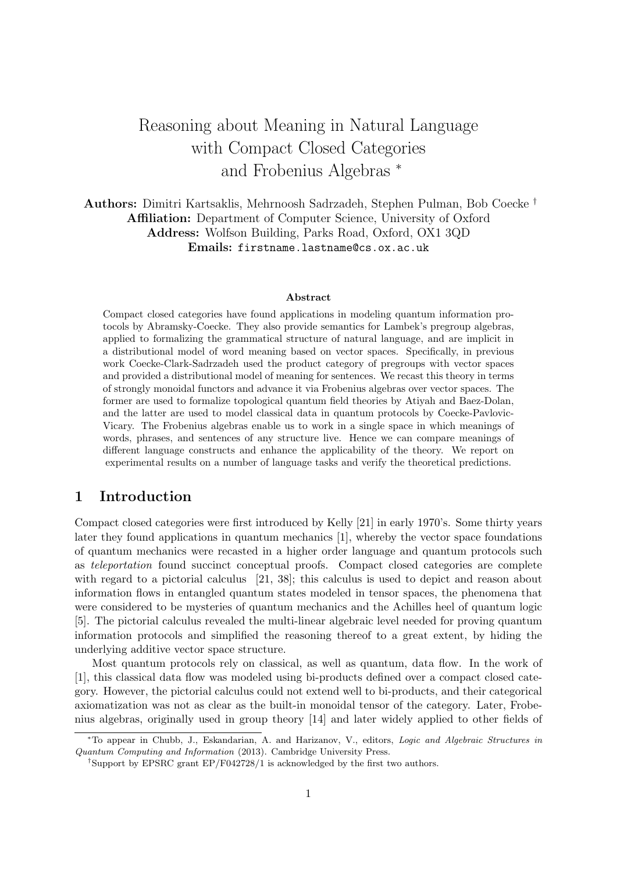# Reasoning about Meaning in Natural Language with Compact Closed Categories and Frobenius Algebras <sup>∗</sup>

Authors: Dimitri Kartsaklis, Mehrnoosh Sadrzadeh, Stephen Pulman, Bob Coecke † Affiliation: Department of Computer Science, University of Oxford Address: Wolfson Building, Parks Road, Oxford, OX1 3QD Emails: firstname.lastname@cs.ox.ac.uk

#### Abstract

Compact closed categories have found applications in modeling quantum information protocols by Abramsky-Coecke. They also provide semantics for Lambek's pregroup algebras, applied to formalizing the grammatical structure of natural language, and are implicit in a distributional model of word meaning based on vector spaces. Specifically, in previous work Coecke-Clark-Sadrzadeh used the product category of pregroups with vector spaces and provided a distributional model of meaning for sentences. We recast this theory in terms of strongly monoidal functors and advance it via Frobenius algebras over vector spaces. The former are used to formalize topological quantum field theories by Atiyah and Baez-Dolan, and the latter are used to model classical data in quantum protocols by Coecke-Pavlovic-Vicary. The Frobenius algebras enable us to work in a single space in which meanings of words, phrases, and sentences of any structure live. Hence we can compare meanings of different language constructs and enhance the applicability of the theory. We report on experimental results on a number of language tasks and verify the theoretical predictions.

# 1 Introduction

Compact closed categories were first introduced by Kelly [21] in early 1970's. Some thirty years later they found applications in quantum mechanics [1], whereby the vector space foundations of quantum mechanics were recasted in a higher order language and quantum protocols such as teleportation found succinct conceptual proofs. Compact closed categories are complete with regard to a pictorial calculus [21, 38]; this calculus is used to depict and reason about information flows in entangled quantum states modeled in tensor spaces, the phenomena that were considered to be mysteries of quantum mechanics and the Achilles heel of quantum logic [5]. The pictorial calculus revealed the multi-linear algebraic level needed for proving quantum information protocols and simplified the reasoning thereof to a great extent, by hiding the underlying additive vector space structure.

Most quantum protocols rely on classical, as well as quantum, data flow. In the work of [1], this classical data flow was modeled using bi-products defined over a compact closed category. However, the pictorial calculus could not extend well to bi-products, and their categorical axiomatization was not as clear as the built-in monoidal tensor of the category. Later, Frobenius algebras, originally used in group theory [14] and later widely applied to other fields of

<sup>∗</sup>To appear in Chubb, J., Eskandarian, A. and Harizanov, V., editors, Logic and Algebraic Structures in Quantum Computing and Information (2013). Cambridge University Press.

<sup>†</sup>Support by EPSRC grant EP/F042728/1 is acknowledged by the first two authors.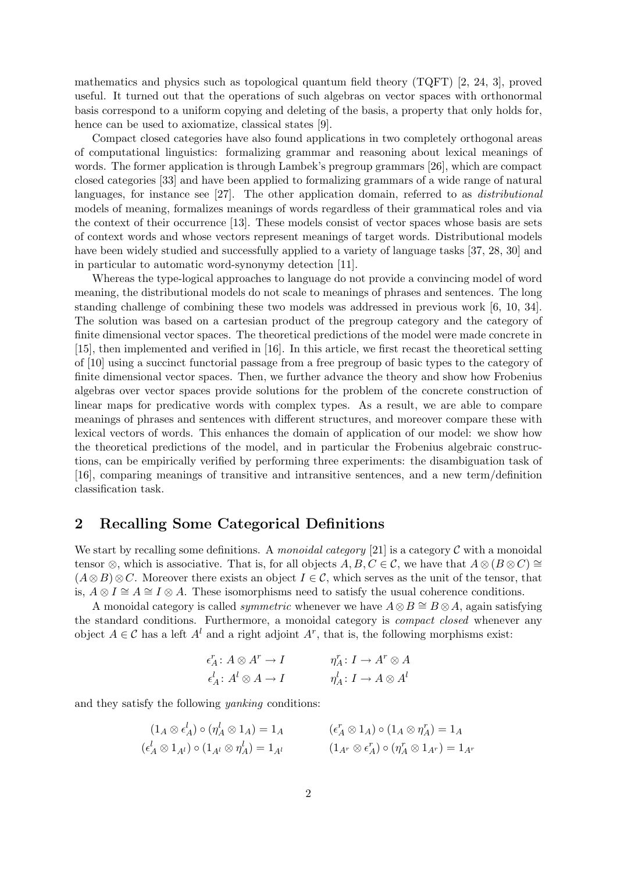mathematics and physics such as topological quantum field theory (TQFT) [2, 24, 3], proved useful. It turned out that the operations of such algebras on vector spaces with orthonormal basis correspond to a uniform copying and deleting of the basis, a property that only holds for, hence can be used to axiomatize, classical states [9].

Compact closed categories have also found applications in two completely orthogonal areas of computational linguistics: formalizing grammar and reasoning about lexical meanings of words. The former application is through Lambek's pregroup grammars [26], which are compact closed categories [33] and have been applied to formalizing grammars of a wide range of natural languages, for instance see [27]. The other application domain, referred to as distributional models of meaning, formalizes meanings of words regardless of their grammatical roles and via the context of their occurrence [13]. These models consist of vector spaces whose basis are sets of context words and whose vectors represent meanings of target words. Distributional models have been widely studied and successfully applied to a variety of language tasks [37, 28, 30] and in particular to automatic word-synonymy detection [11].

Whereas the type-logical approaches to language do not provide a convincing model of word meaning, the distributional models do not scale to meanings of phrases and sentences. The long standing challenge of combining these two models was addressed in previous work [6, 10, 34]. The solution was based on a cartesian product of the pregroup category and the category of finite dimensional vector spaces. The theoretical predictions of the model were made concrete in [15], then implemented and verified in [16]. In this article, we first recast the theoretical setting of [10] using a succinct functorial passage from a free pregroup of basic types to the category of finite dimensional vector spaces. Then, we further advance the theory and show how Frobenius algebras over vector spaces provide solutions for the problem of the concrete construction of linear maps for predicative words with complex types. As a result, we are able to compare meanings of phrases and sentences with different structures, and moreover compare these with lexical vectors of words. This enhances the domain of application of our model: we show how the theoretical predictions of the model, and in particular the Frobenius algebraic constructions, can be empirically verified by performing three experiments: the disambiguation task of [16], comparing meanings of transitive and intransitive sentences, and a new term/definition classification task.

# 2 Recalling Some Categorical Definitions

We start by recalling some definitions. A monoidal category [21] is a category  $\mathcal C$  with a monoidal tensor ⊗, which is associative. That is, for all objects  $A, B, C \in \mathcal{C}$ , we have that  $A \otimes (B \otimes C) \cong$  $(A\otimes B)\otimes C$ . Moreover there exists an object  $I\in\mathcal{C}$ , which serves as the unit of the tensor, that is,  $A \otimes I \cong A \cong I \otimes A$ . These isomorphisms need to satisfy the usual coherence conditions.

A monoidal category is called *symmetric* whenever we have  $A \otimes B \cong B \otimes A$ , again satisfying the standard conditions. Furthermore, a monoidal category is compact closed whenever any object  $A \in \mathcal{C}$  has a left  $A^l$  and a right adjoint  $A^r$ , that is, the following morphisms exist:

$$
\begin{aligned}\n\epsilon^r_A &\colon A\otimes A^r \to I &\eta^r_A &\colon I \to A^r \otimes A \\
\epsilon^l_A &\colon A^l \otimes A \to I &\eta^l_A &\colon I \to A \otimes A^l\n\end{aligned}
$$

and they satisfy the following yanking conditions:

$$
(1_A \otimes \epsilon^l_A) \circ (\eta^l_A \otimes 1_A) = 1_A \qquad (\epsilon^r_A \otimes 1_A) \circ (1_A \otimes \eta^r_A) = 1_A
$$
  
\n
$$
(\epsilon^l_A \otimes 1_{A^l}) \circ (1_{A^l} \otimes \eta^l_A) = 1_{A^l} \qquad (1_{A^r} \otimes \epsilon^r_A) \circ (\eta^r_A \otimes 1_{A^r}) = 1_{A^r}
$$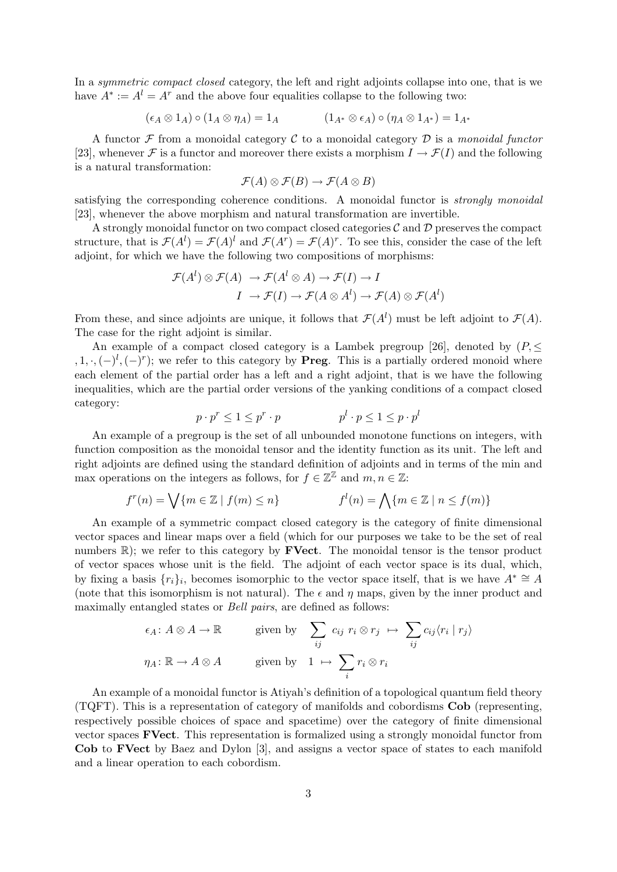In a *symmetric compact closed* category, the left and right adjoints collapse into one, that is we have  $A^* := A^l = A^r$  and the above four equalities collapse to the following two:

$$
(\epsilon_A \otimes 1_A) \circ (1_A \otimes \eta_A) = 1_A \qquad (1_{A^*} \otimes \epsilon_A) \circ (\eta_A \otimes 1_{A^*}) = 1_{A^*}
$$

A functor  $\mathcal F$  from a monoidal category  $\mathcal C$  to a monoidal category  $\mathcal D$  is a monoidal functor [23], whenever F is a functor and moreover there exists a morphism  $I \to \mathcal{F}(I)$  and the following is a natural transformation:

$$
\mathcal{F}(A) \otimes \mathcal{F}(B) \to \mathcal{F}(A \otimes B)
$$

satisfying the corresponding coherence conditions. A monoidal functor is *strongly monoidal* [23], whenever the above morphism and natural transformation are invertible.

A strongly monoidal functor on two compact closed categories  $\mathcal C$  and  $\mathcal D$  preserves the compact structure, that is  $\mathcal{F}(A^l) = \mathcal{F}(A)^l$  and  $\mathcal{F}(A^r) = \mathcal{F}(A)^r$ . To see this, consider the case of the left adjoint, for which we have the following two compositions of morphisms:

$$
\mathcal{F}(A^l) \otimes \mathcal{F}(A) \rightarrow \mathcal{F}(A^l \otimes A) \rightarrow \mathcal{F}(I) \rightarrow I
$$

$$
I \rightarrow \mathcal{F}(I) \rightarrow \mathcal{F}(A \otimes A^l) \rightarrow \mathcal{F}(A) \otimes \mathcal{F}(A^l)
$$

From these, and since adjoints are unique, it follows that  $\mathcal{F}(A^l)$  must be left adjoint to  $\mathcal{F}(A)$ . The case for the right adjoint is similar.

An example of a compact closed category is a Lambek pregroup [26], denoted by  $(P, \leq)$ , 1,  $\cdot$ , (-)<sup>l</sup>, (-)<sup>r</sup>); we refer to this category by **Preg.** This is a partially ordered monoid where each element of the partial order has a left and a right adjoint, that is we have the following inequalities, which are the partial order versions of the yanking conditions of a compact closed category:

$$
p \cdot p^r \le 1 \le p^r \cdot p \qquad \qquad p^l \cdot p \le 1 \le p \cdot p^l
$$

An example of a pregroup is the set of all unbounded monotone functions on integers, with function composition as the monoidal tensor and the identity function as its unit. The left and right adjoints are defined using the standard definition of adjoints and in terms of the min and max operations on the integers as follows, for  $f \in \mathbb{Z}^{\mathbb{Z}}$  and  $m, n \in \mathbb{Z}$ :

$$
f^{r}(n) = \bigvee \{ m \in \mathbb{Z} \mid f(m) \le n \} \qquad f^{l}(n) = \bigwedge \{ m \in \mathbb{Z} \mid n \le f(m) \}
$$

An example of a symmetric compact closed category is the category of finite dimensional vector spaces and linear maps over a field (which for our purposes we take to be the set of real numbers  $\mathbb{R}$ ); we refer to this category by **FVect**. The monoidal tensor is the tensor product of vector spaces whose unit is the field. The adjoint of each vector space is its dual, which, by fixing a basis  $\{r_i\}_i$ , becomes isomorphic to the vector space itself, that is we have  $A^* \cong A$ (note that this isomorphism is not natural). The  $\epsilon$  and  $\eta$  maps, given by the inner product and maximally entangled states or *Bell pairs*, are defined as follows:

$$
\epsilon_A \colon A \otimes A \to \mathbb{R} \qquad \text{given by} \quad \sum_{ij} c_{ij} \ r_i \otimes r_j \ \mapsto \ \sum_{ij} c_{ij} \langle r_i \mid r_j \rangle
$$

$$
\eta_A \colon \mathbb{R} \to A \otimes A \qquad \text{given by} \quad 1 \ \mapsto \ \sum_i r_i \otimes r_i
$$

An example of a monoidal functor is Atiyah's definition of a topological quantum field theory (TQFT). This is a representation of category of manifolds and cobordisms Cob (representing, respectively possible choices of space and spacetime) over the category of finite dimensional vector spaces FVect. This representation is formalized using a strongly monoidal functor from Cob to FVect by Baez and Dylon [3], and assigns a vector space of states to each manifold and a linear operation to each cobordism.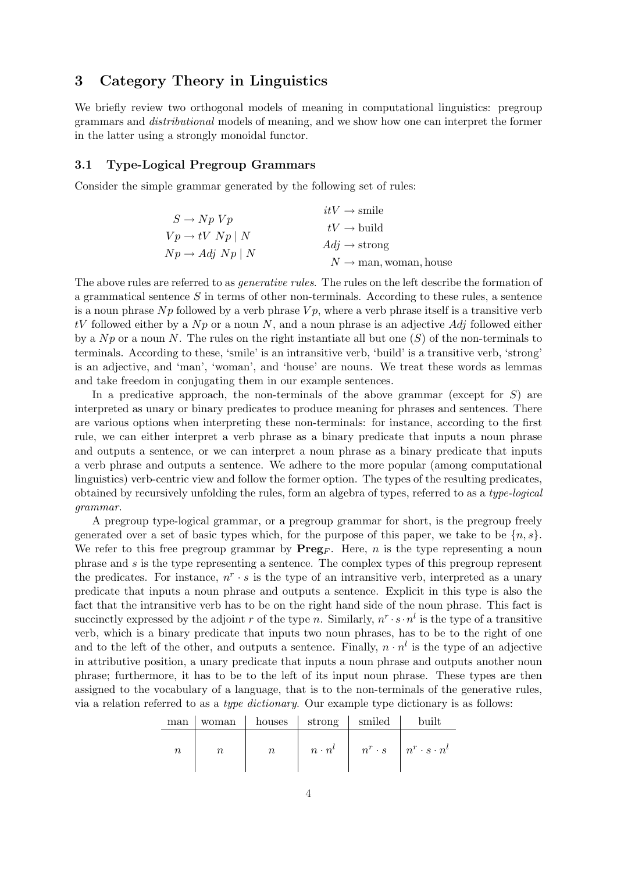# 3 Category Theory in Linguistics

We briefly review two orthogonal models of meaning in computational linguistics: pregroup grammars and distributional models of meaning, and we show how one can interpret the former in the latter using a strongly monoidal functor.

### 3.1 Type-Logical Pregroup Grammars

Consider the simple grammar generated by the following set of rules:

|                                | $itV \rightarrow$ smile                                |
|--------------------------------|--------------------------------------------------------|
| $S \to Np Vp$                  | $tV \rightarrow$ build                                 |
| $Vp \rightarrow tV Np \mid N$  | $Adj \rightarrow$ strong                               |
| $Np \rightarrow Adj Np \mid N$ | $N \rightarrow \text{man}, \text{woman}, \text{house}$ |

The above rules are referred to as *generative rules*. The rules on the left describe the formation of a grammatical sentence S in terms of other non-terminals. According to these rules, a sentence is a noun phrase  $Np$  followed by a verb phrase  $Vp$ , where a verb phrase itself is a transitive verb tV followed either by a  $Np$  or a noun N, and a noun phrase is an adjective Adj followed either by a  $Np$  or a noun N. The rules on the right instantiate all but one  $(S)$  of the non-terminals to terminals. According to these, 'smile' is an intransitive verb, 'build' is a transitive verb, 'strong' is an adjective, and 'man', 'woman', and 'house' are nouns. We treat these words as lemmas and take freedom in conjugating them in our example sentences.

In a predicative approach, the non-terminals of the above grammar (except for  $S$ ) are interpreted as unary or binary predicates to produce meaning for phrases and sentences. There are various options when interpreting these non-terminals: for instance, according to the first rule, we can either interpret a verb phrase as a binary predicate that inputs a noun phrase and outputs a sentence, or we can interpret a noun phrase as a binary predicate that inputs a verb phrase and outputs a sentence. We adhere to the more popular (among computational linguistics) verb-centric view and follow the former option. The types of the resulting predicates, obtained by recursively unfolding the rules, form an algebra of types, referred to as a type-logical grammar.

A pregroup type-logical grammar, or a pregroup grammar for short, is the pregroup freely generated over a set of basic types which, for the purpose of this paper, we take to be  $\{n, s\}$ . We refer to this free pregroup grammar by  $\text{Preg}_F$ . Here, n is the type representing a noun phrase and s is the type representing a sentence. The complex types of this pregroup represent the predicates. For instance,  $n^r \cdot s$  is the type of an intransitive verb, interpreted as a unary predicate that inputs a noun phrase and outputs a sentence. Explicit in this type is also the fact that the intransitive verb has to be on the right hand side of the noun phrase. This fact is succinctly expressed by the adjoint r of the type n. Similarly,  $n^r \cdot s \cdot n^l$  is the type of a transitive verb, which is a binary predicate that inputs two noun phrases, has to be to the right of one and to the left of the other, and outputs a sentence. Finally,  $n \cdot n^l$  is the type of an adjective in attributive position, a unary predicate that inputs a noun phrase and outputs another noun phrase; furthermore, it has to be to the left of its input noun phrase. These types are then assigned to the vocabulary of a language, that is to the non-terminals of the generative rules, via a relation referred to as a type dictionary. Our example type dictionary is as follows:

| man      | woman     | houses  | strong              | smiled | built                                             |
|----------|-----------|---------|---------------------|--------|---------------------------------------------------|
| $\it{n}$ | $\, n \,$ | $\it n$ | $n \cdot n^{\iota}$ |        | $n^r \cdot s \quad   \quad n^r \cdot s \cdot n^l$ |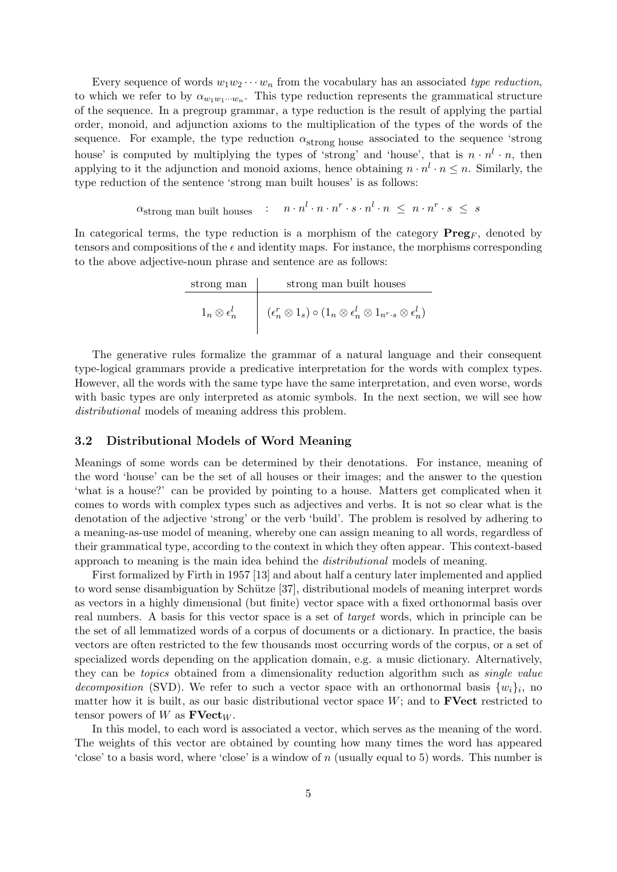Every sequence of words  $w_1w_2\cdots w_n$  from the vocabulary has an associated type reduction, to which we refer to by  $\alpha_{w_1w_1\cdots w_n}$ . This type reduction represents the grammatical structure of the sequence. In a pregroup grammar, a type reduction is the result of applying the partial order, monoid, and adjunction axioms to the multiplication of the types of the words of the sequence. For example, the type reduction  $\alpha_{\text{strong house}}$  associated to the sequence 'strong house' is computed by multiplying the types of 'strong' and 'house', that is  $n \cdot n^l \cdot n$ , then applying to it the adjunction and monoid axioms, hence obtaining  $n \cdot n^l \cdot n \leq n$ . Similarly, the type reduction of the sentence 'strong man built houses' is as follows:

$$
\alpha_{\text{strong man built houses}} \quad : \quad n \cdot n^l \cdot n \cdot n^r \cdot s \cdot n^l \cdot n \ \leq \ n \cdot n^r \cdot s \ \leq \ s
$$

In categorical terms, the type reduction is a morphism of the category  $\mathbf{Preg}_F$ , denoted by tensors and compositions of the  $\epsilon$  and identity maps. For instance, the morphisms corresponding to the above adjective-noun phrase and sentence are as follows:

| strong man                 | strong man built houses                                                                                    |
|----------------------------|------------------------------------------------------------------------------------------------------------|
| $1_n \otimes \epsilon_n^l$ | $(\epsilon_n^r \otimes 1_s) \circ (1_n \otimes \epsilon_n^l \otimes 1_{n^r \cdot s} \otimes \epsilon_n^l)$ |

The generative rules formalize the grammar of a natural language and their consequent type-logical grammars provide a predicative interpretation for the words with complex types. However, all the words with the same type have the same interpretation, and even worse, words with basic types are only interpreted as atomic symbols. In the next section, we will see how distributional models of meaning address this problem.

### 3.2 Distributional Models of Word Meaning

Meanings of some words can be determined by their denotations. For instance, meaning of the word 'house' can be the set of all houses or their images; and the answer to the question 'what is a house?' can be provided by pointing to a house. Matters get complicated when it comes to words with complex types such as adjectives and verbs. It is not so clear what is the denotation of the adjective 'strong' or the verb 'build'. The problem is resolved by adhering to a meaning-as-use model of meaning, whereby one can assign meaning to all words, regardless of their grammatical type, according to the context in which they often appear. This context-based approach to meaning is the main idea behind the distributional models of meaning.

First formalized by Firth in 1957 [13] and about half a century later implemented and applied to word sense disambiguation by Schütze [37], distributional models of meaning interpret words as vectors in a highly dimensional (but finite) vector space with a fixed orthonormal basis over real numbers. A basis for this vector space is a set of target words, which in principle can be the set of all lemmatized words of a corpus of documents or a dictionary. In practice, the basis vectors are often restricted to the few thousands most occurring words of the corpus, or a set of specialized words depending on the application domain, e.g. a music dictionary. Alternatively, they can be topics obtained from a dimensionality reduction algorithm such as single value decomposition (SVD). We refer to such a vector space with an orthonormal basis  $\{w_i\}_i$ , no matter how it is built, as our basic distributional vector space  $W$ ; and to **FVect** restricted to tensor powers of W as  $\mathbf{FVect}_W$ .

In this model, to each word is associated a vector, which serves as the meaning of the word. The weights of this vector are obtained by counting how many times the word has appeared 'close' to a basis word, where 'close' is a window of  $n$  (usually equal to 5) words. This number is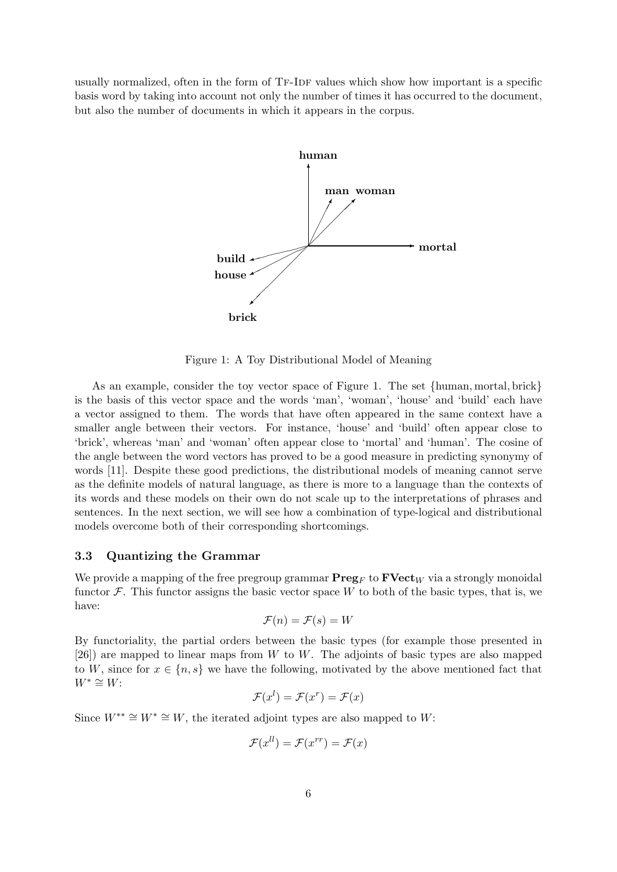usually normalized, often in the form of TF-IDF values which show how important is a specific basis word by taking into account not only the number of times it has occurred to the document, but also the number of documents in which it appears in the corpus.



Figure 1: A Toy Distributional Model of Meaning

As an example, consider the toy vector space of Figure 1. The set {human, mortal, brick} is the basis of this vector space and the words 'man', 'woman', 'house' and 'build' each have a vector assigned to them. The words that have often appeared in the same context have a smaller angle between their vectors. For instance, 'house' and 'build' often appear close to 'brick', whereas 'man' and 'woman' often appear close to 'mortal' and 'human'. The cosine of the angle between the word vectors has proved to be a good measure in predicting synonymy of words [11]. Despite these good predictions, the distributional models of meaning cannot serve as the definite models of natural language, as there is more to a language than the contexts of its words and these models on their own do not scale up to the interpretations of phrases and sentences. In the next section, we will see how a combination of type-logical and distributional models overcome both of their corresponding shortcomings.

### 3.3 Quantizing the Grammar

We provide a mapping of the free pregroup grammar  $\mathbf{Preg}_F$  to  $\mathbf{FVect}_W$  via a strongly monoidal functor  $\mathcal F$ . This functor assigns the basic vector space W to both of the basic types, that is, we have:

$$
\mathcal{F}(n) = \mathcal{F}(s) = W
$$

By functoriality, the partial orders between the basic types (for example those presented in  $[26]$ ) are mapped to linear maps from W to W. The adjoints of basic types are also mapped to W, since for  $x \in \{n, s\}$  we have the following, motivated by the above mentioned fact that  $W^* \cong W$ :

$$
\mathcal{F}(x^l) = \mathcal{F}(x^r) = \mathcal{F}(x)
$$

Since  $W^{**} \cong W^* \cong W$ , the iterated adjoint types are also mapped to W:

$$
\mathcal{F}(x^{ll}) = \mathcal{F}(x^{rr}) = \mathcal{F}(x)
$$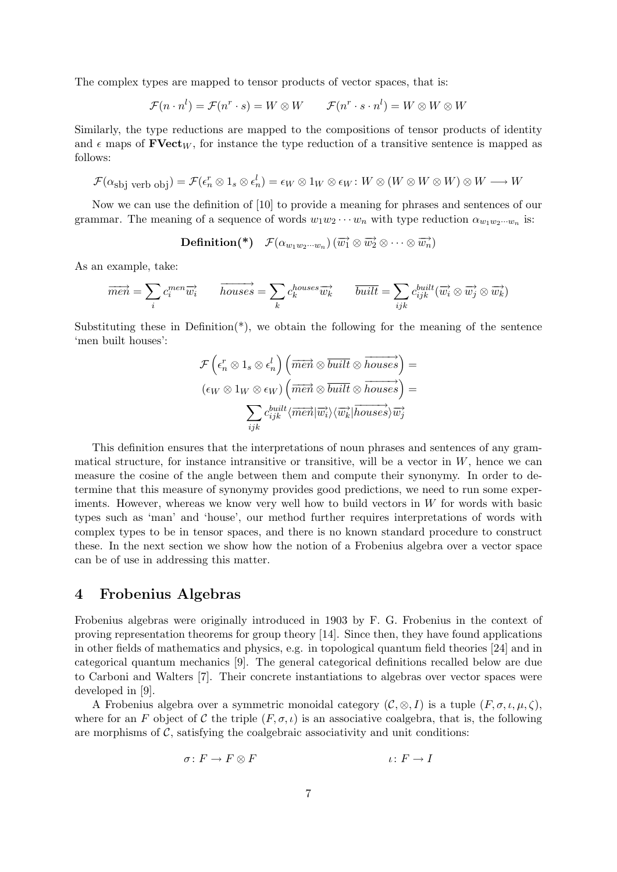The complex types are mapped to tensor products of vector spaces, that is:

$$
\mathcal{F}(n \cdot n^l) = \mathcal{F}(n^r \cdot s) = W \otimes W \qquad \mathcal{F}(n^r \cdot s \cdot n^l) = W \otimes W \otimes W
$$

Similarly, the type reductions are mapped to the compositions of tensor products of identity and  $\epsilon$  maps of  $\textbf{FVect}_W$ , for instance the type reduction of a transitive sentence is mapped as follows:

$$
\mathcal{F}(\alpha_{\text{sbj verb obj}}) = \mathcal{F}(\epsilon_n^r \otimes 1_s \otimes \epsilon_n^l) = \epsilon_W \otimes 1_W \otimes \epsilon_W \colon W \otimes (W \otimes W \otimes W) \otimes W \longrightarrow W
$$

Now we can use the definition of [10] to provide a meaning for phrases and sentences of our grammar. The meaning of a sequence of words  $w_1w_2\cdots w_n$  with type reduction  $\alpha_{w_1w_2\cdots w_n}$  is:

 $\textbf{Definition}(\textbf{*}) \quad \mathcal{F}(\alpha_{w_1w_2\cdots w_n}) \left(\overrightarrow{w_1}\otimes \overrightarrow{w_2}\otimes \cdots \otimes \overrightarrow{w_n}\right)$ 

As an example, take:

$$
\overrightarrow{men} = \sum_i c_i^{men} \overrightarrow{w_i} \qquad \overrightarrow{houses} = \sum_k c_k^{houses} \overrightarrow{w_k} \qquad \overrightarrow{built} = \sum_{ijk} c_{ijk}^{built} (\overrightarrow{w_i} \otimes \overrightarrow{w_j} \otimes \overrightarrow{w_k})
$$

Substituting these in Definition<sup>\*</sup>), we obtain the following for the meaning of the sentence 'men built houses':

$$
\mathcal{F}\left(\epsilon_n^r\otimes 1_s\otimes \epsilon_n^l\right)\left(\overrightarrow{men}\otimes \overrightarrow{built}\otimes \overrightarrow{houses}\right)=\\(\epsilon_W\otimes 1_W\otimes \epsilon_W)\left(\overrightarrow{men}\otimes \overrightarrow{built}\otimes \overrightarrow{houses}\right)=\\\\\sum_{ijk}c_{ijk}^{built}\langle \overrightarrow{men}|\overrightarrow{w_i}\rangle\langle \overrightarrow{w_k}|\overrightarrow{houses}\rangle\overrightarrow{w_j}
$$

This definition ensures that the interpretations of noun phrases and sentences of any grammatical structure, for instance intransitive or transitive, will be a vector in  $W$ , hence we can measure the cosine of the angle between them and compute their synonymy. In order to determine that this measure of synonymy provides good predictions, we need to run some experiments. However, whereas we know very well how to build vectors in  $W$  for words with basic types such as 'man' and 'house', our method further requires interpretations of words with complex types to be in tensor spaces, and there is no known standard procedure to construct these. In the next section we show how the notion of a Frobenius algebra over a vector space can be of use in addressing this matter.

## 4 Frobenius Algebras

Frobenius algebras were originally introduced in 1903 by F. G. Frobenius in the context of proving representation theorems for group theory [14]. Since then, they have found applications in other fields of mathematics and physics, e.g. in topological quantum field theories [24] and in categorical quantum mechanics [9]. The general categorical definitions recalled below are due to Carboni and Walters [7]. Their concrete instantiations to algebras over vector spaces were developed in [9].

A Frobenius algebra over a symmetric monoidal category  $(C, \otimes, I)$  is a tuple  $(F, \sigma, \iota, \mu, \zeta)$ , where for an F object of C the triple  $(F, \sigma, \iota)$  is an associative coalgebra, that is, the following are morphisms of  $C$ , satisfying the coalgebraic associativity and unit conditions:

$$
\sigma \colon F \to F \otimes F \qquad \qquad \iota \colon F \to I
$$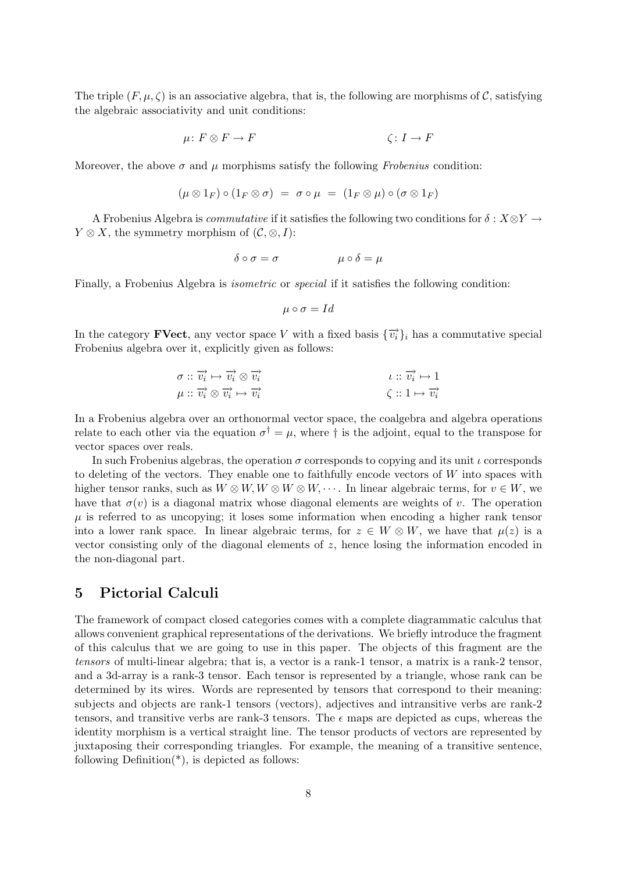The triple  $(F, \mu, \zeta)$  is an associative algebra, that is, the following are morphisms of C, satisfying the algebraic associativity and unit conditions:

$$
\mu \colon F \otimes F \to F \qquad \zeta: I \to F
$$

Moreover, the above  $\sigma$  and  $\mu$  morphisms satisfy the following *Frobenius* condition:

$$
(\mu \otimes 1_F) \circ (1_F \otimes \sigma) = \sigma \circ \mu = (1_F \otimes \mu) \circ (\sigma \otimes 1_F)
$$

A Frobenius Algebra is *commutative* if it satisfies the following two conditions for  $\delta : X \otimes Y \rightarrow$  $Y \otimes X$ , the symmetry morphism of  $(C, \otimes, I)$ :

$$
\delta \circ \sigma = \sigma \qquad \qquad \mu \circ \delta = \mu
$$

Finally, a Frobenius Algebra is *isometric* or *special* if it satisfies the following condition:

$$
\mu \circ \sigma = Id
$$

In the category **FVect**, any vector space V with a fixed basis  $\{\vec{v}_i\}_i$  has a commutative special Frobenius algebra over it, explicitly given as follows:

$$
\sigma :: \overrightarrow{v_i} \mapsto \overrightarrow{v_i} \otimes \overrightarrow{v_i} \n\mu :: \overrightarrow{v_i} \otimes \overrightarrow{v_i} \mapsto \overrightarrow{v_i} \n\zeta :: 1 \mapsto \overrightarrow{v_i}
$$

In a Frobenius algebra over an orthonormal vector space, the coalgebra and algebra operations relate to each other via the equation  $\sigma^{\dagger} = \mu$ , where  $\dagger$  is the adjoint, equal to the transpose for vector spaces over reals.

In such Frobenius algebras, the operation  $\sigma$  corresponds to copying and its unit  $\iota$  corresponds to deleting of the vectors. They enable one to faithfully encode vectors of  $W$  into spaces with higher tensor ranks, such as  $W \otimes W$ ,  $W \otimes W \otimes W$ ,  $\cdots$ . In linear algebraic terms, for  $v \in W$ , we have that  $\sigma(v)$  is a diagonal matrix whose diagonal elements are weights of v. The operation  $\mu$  is referred to as uncopying; it loses some information when encoding a higher rank tensor into a lower rank space. In linear algebraic terms, for  $z \in W \otimes W$ , we have that  $\mu(z)$  is a vector consisting only of the diagonal elements of  $z$ , hence losing the information encoded in the non-diagonal part.

# 5 Pictorial Calculi

The framework of compact closed categories comes with a complete diagrammatic calculus that allows convenient graphical representations of the derivations. We briefly introduce the fragment of this calculus that we are going to use in this paper. The objects of this fragment are the tensors of multi-linear algebra; that is, a vector is a rank-1 tensor, a matrix is a rank-2 tensor, and a 3d-array is a rank-3 tensor. Each tensor is represented by a triangle, whose rank can be determined by its wires. Words are represented by tensors that correspond to their meaning: subjects and objects are rank-1 tensors (vectors), adjectives and intransitive verbs are rank-2 tensors, and transitive verbs are rank-3 tensors. The  $\epsilon$  maps are depicted as cups, whereas the identity morphism is a vertical straight line. The tensor products of vectors are represented by juxtaposing their corresponding triangles. For example, the meaning of a transitive sentence, following  $Definition(*)$ , is depicted as follows: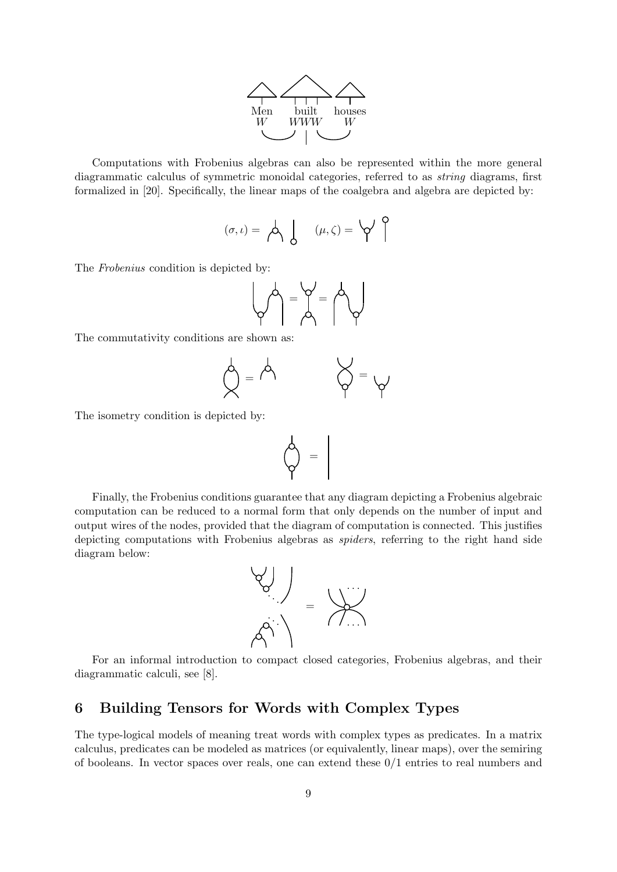

Computations with Frobenius algebras can also be represented within the more general diagrammatic calculus of symmetric monoidal categories, referred to as string diagrams, first formalized in [20]. Specifically, the linear maps of the coalgebra and algebra are depicted by:

$$
(\sigma, \iota) = \bigwedge \left\{ \begin{array}{c} (\mu, \zeta) = \bigvee \end{array} \right\}
$$

The Frobenius condition is depicted by:

$$
\left(\bigwedge_{i=1}^{n} \bigwedge_{j=1}^{n} \bigwedge_{j=1}^{n} \bigwedge_{j=1}^{n} \bigwedge_{j=1}^{n} \bigwedge_{j=1}^{n} \bigwedge_{j=1}^{n} \bigwedge_{j=1}^{n} \bigwedge_{j=1}^{n} \bigwedge_{j=1}^{n} \bigwedge_{j=1}^{n} \bigwedge_{j=1}^{n} \bigwedge_{j=1}^{n} \bigwedge_{j=1}^{n} \bigwedge_{j=1}^{n} \bigwedge_{j=1}^{n} \bigwedge_{j=1}^{n} \bigwedge_{j=1}^{n} \bigwedge_{j=1}^{n} \bigwedge_{j=1}^{n} \bigwedge_{j=1}^{n} \bigwedge_{j=1}^{n} \bigwedge_{j=1}^{n} \bigwedge_{j=1}^{n} \bigwedge_{j=1}^{n} \bigwedge_{j=1}^{n} \bigwedge_{j=1}^{n} \bigwedge_{j=1}^{n} \bigwedge_{j=1}^{n} \bigwedge_{j=1}^{n} \bigwedge_{j=1}^{n} \bigwedge_{j=1}^{n} \bigwedge_{j=1}^{n} \bigwedge_{j=1}^{n} \bigwedge_{j=1}^{n} \bigwedge_{j=1}^{n} \bigwedge_{j=1}^{n} \bigwedge_{j=1}^{n} \bigwedge_{j=1}^{n} \bigwedge_{j=1}^{n} \bigwedge_{j=1}^{n} \bigwedge_{j=1}^{n} \bigwedge_{j=1}^{n} \bigwedge_{j=1}^{n} \bigwedge_{j=1}^{n} \bigwedge_{j=1}^{n} \bigwedge_{j=1}^{n} \bigwedge_{j=1}^{n} \bigwedge_{j=1}^{n} \bigwedge_{j=1}^{n} \bigwedge_{j=1}^{n} \bigwedge_{j=1}^{n} \bigwedge_{j=1}^{n} \bigwedge_{j=1}^{n} \bigwedge_{j=1}^{n} \bigwedge_{j=1}^{n} \bigwedge_{j=1}^{n} \bigwedge_{j=1}^{n} \bigwedge_{j=1}^{n} \bigwedge_{j=1}^{n} \bigwedge_{j=1}^{n} \bigwedge_{j=1}^{n} \bigwedge_{j=1}^{n} \big
$$

The commutativity conditions are shown as:

$$
\bigwedge^1 = \bigwedge^1
$$

The isometry condition is depicted by:

$$
\left\langle \bigsetminus \bigsetminus_{i=1}^{n} \alpha_i \right\rangle = \left\lceil \alpha_i \right\rceil
$$

Finally, the Frobenius conditions guarantee that any diagram depicting a Frobenius algebraic computation can be reduced to a normal form that only depends on the number of input and output wires of the nodes, provided that the diagram of computation is connected. This justifies depicting computations with Frobenius algebras as spiders, referring to the right hand side diagram below:



For an informal introduction to compact closed categories, Frobenius algebras, and their diagrammatic calculi, see [8].

# 6 Building Tensors for Words with Complex Types

The type-logical models of meaning treat words with complex types as predicates. In a matrix calculus, predicates can be modeled as matrices (or equivalently, linear maps), over the semiring of booleans. In vector spaces over reals, one can extend these 0/1 entries to real numbers and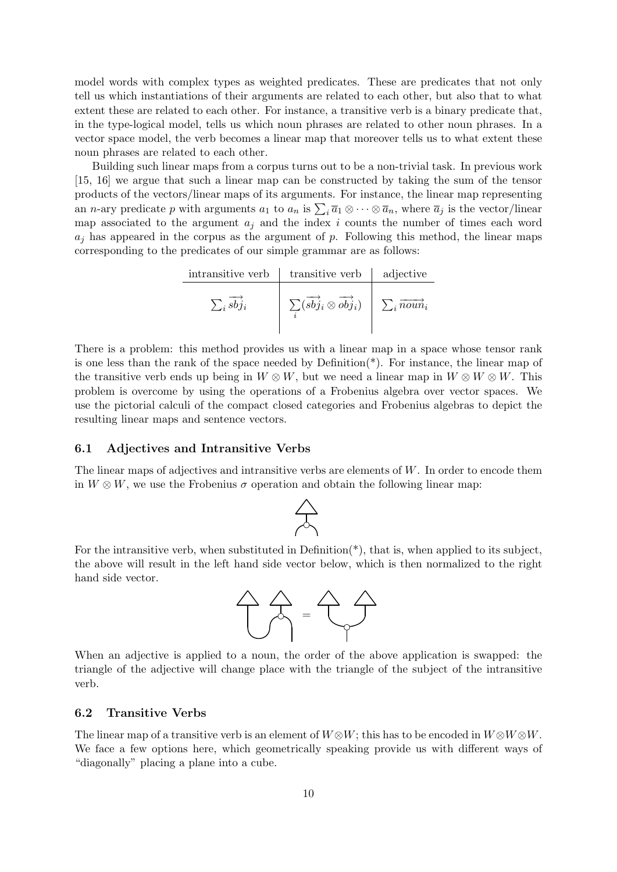model words with complex types as weighted predicates. These are predicates that not only tell us which instantiations of their arguments are related to each other, but also that to what extent these are related to each other. For instance, a transitive verb is a binary predicate that, in the type-logical model, tells us which noun phrases are related to other noun phrases. In a vector space model, the verb becomes a linear map that moreover tells us to what extent these noun phrases are related to each other.

Building such linear maps from a corpus turns out to be a non-trivial task. In previous work [15, 16] we argue that such a linear map can be constructed by taking the sum of the tensor products of the vectors/linear maps of its arguments. For instance, the linear map representing an *n*-ary predicate p with arguments  $a_1$  to  $a_n$  is  $\sum_i \overline{a}_1 \otimes \cdots \otimes \overline{a}_n$ , where  $\overline{a}_j$  is the vector/linear map associated to the argument  $a_j$  and the index i counts the number of times each word  $a_i$  has appeared in the corpus as the argument of p. Following this method, the linear maps corresponding to the predicates of our simple grammar are as follows:

| intransitive verb | transitive verb                                               | adjective                        |
|-------------------|---------------------------------------------------------------|----------------------------------|
| $\sum_i s b j_i$  | $\sum(\overrightarrow{sbj}_i \otimes \overrightarrow{obj}_i)$ | $\sum_i \overrightarrow{noun}_i$ |

There is a problem: this method provides us with a linear map in a space whose tensor rank is one less than the rank of the space needed by Definition(\*). For instance, the linear map of the transitive verb ends up being in  $W \otimes W$ , but we need a linear map in  $W \otimes W \otimes W$ . This problem is overcome by using the operations of a Frobenius algebra over vector spaces. We use the pictorial calculi of the compact closed categories and Frobenius algebras to depict the resulting linear maps and sentence vectors.

### 6.1 Adjectives and Intransitive Verbs

 $\overline{\phantom{a}}$ 

The linear maps of adjectives and intransitive verbs are elements of  $W$ . In order to encode them in  $W \otimes W$ , we use the Frobenius  $\sigma$  operation and obtain the following linear map:



For the intransitive verb, when substituted in Definition(\*), that is, when applied to its subject, the above will result in the left hand side vector below, which is then normalized to the right hand side vector.



When an adjective is applied to a noun, the order of the above application is swapped: the triangle of the adjective will change place with the triangle of the subject of the intransitive verb.

#### 6.2 Transitive Verbs

The linear map of a transitive verb is an element of  $W \otimes W$ ; this has to be encoded in  $W \otimes W \otimes W$ . We face a few options here, which geometrically speaking provide us with different ways of "diagonally" placing a plane into a cube.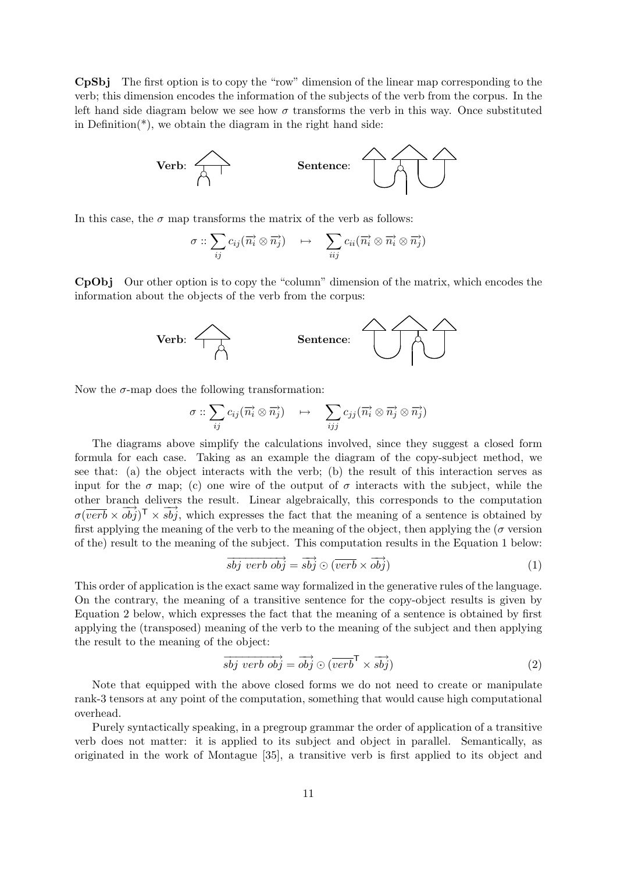CpSbj The first option is to copy the "row" dimension of the linear map corresponding to the verb; this dimension encodes the information of the subjects of the verb from the corpus. In the left hand side diagram below we see how  $\sigma$  transforms the verb in this way. Once substituted in Definition( $*$ ), we obtain the diagram in the right hand side:



In this case, the  $\sigma$  map transforms the matrix of the verb as follows:

$$
\sigma :: \sum_{ij} c_{ij} (\overrightarrow{n_i} \otimes \overrightarrow{n_j}) \quad \mapsto \quad \sum_{iij} c_{ii} (\overrightarrow{n_i} \otimes \overrightarrow{n_i} \otimes \overrightarrow{n_j})
$$

CpObj Our other option is to copy the "column" dimension of the matrix, which encodes the information about the objects of the verb from the corpus:



Now the  $\sigma$ -map does the following transformation:

$$
\sigma :: \sum_{ij} c_{ij} (\overrightarrow{n_i} \otimes \overrightarrow{n_j}) \quad \mapsto \quad \sum_{ijj} c_{jj} (\overrightarrow{n_i} \otimes \overrightarrow{n_j} \otimes \overrightarrow{n_j})
$$

The diagrams above simplify the calculations involved, since they suggest a closed form formula for each case. Taking as an example the diagram of the copy-subject method, we see that: (a) the object interacts with the verb; (b) the result of this interaction serves as input for the  $\sigma$  map; (c) one wire of the output of  $\sigma$  interacts with the subject, while the other branch delivers the result. Linear algebraically, this corresponds to the computation  $\sigma(\overline{verb} \times \overrightarrow{obj})^{\mathsf{T}} \times \overrightarrow{sbj}$ , which expresses the fact that the meaning of a sentence is obtained by first applying the meaning of the verb to the meaning of the object, then applying the ( $\sigma$  version of the) result to the meaning of the subject. This computation results in the Equation 1 below:

$$
\overrightarrow{sbj} \overrightarrow{verb} \overrightarrow{obj} = \overrightarrow{sbj} \odot (\overrightarrow{verb} \times \overrightarrow{obj})
$$
\n(1)

This order of application is the exact same way formalized in the generative rules of the language. On the contrary, the meaning of a transitive sentence for the copy-object results is given by Equation 2 below, which expresses the fact that the meaning of a sentence is obtained by first applying the (transposed) meaning of the verb to the meaning of the subject and then applying the result to the meaning of the object:

$$
\overrightarrow{sbj} \overrightarrow{verb} \overrightarrow{obj} = \overrightarrow{obj} \odot (\overrightarrow{verb}^{\mathsf{T}} \times \overrightarrow{sbj})
$$
\n(2)

Note that equipped with the above closed forms we do not need to create or manipulate rank-3 tensors at any point of the computation, something that would cause high computational overhead.

Purely syntactically speaking, in a pregroup grammar the order of application of a transitive verb does not matter: it is applied to its subject and object in parallel. Semantically, as originated in the work of Montague [35], a transitive verb is first applied to its object and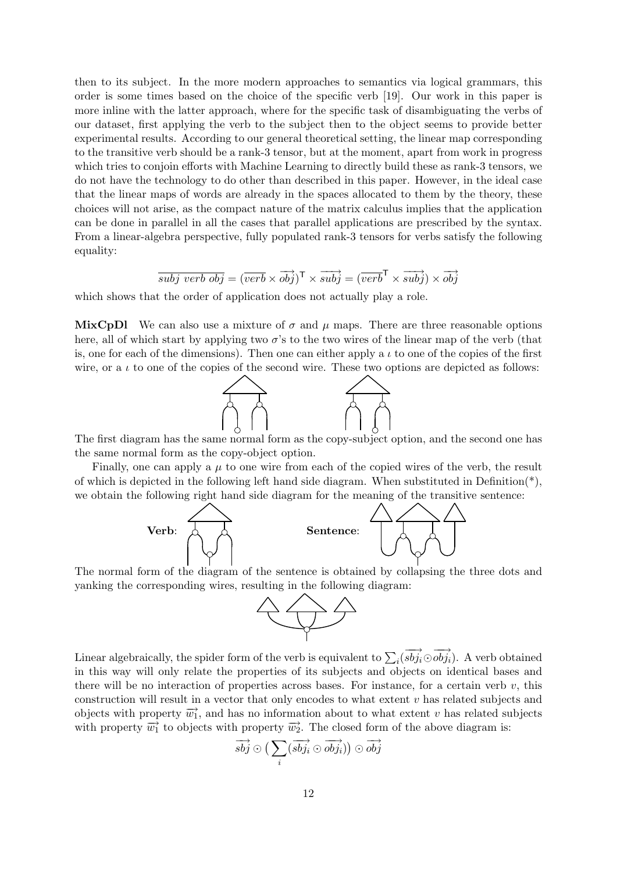then to its subject. In the more modern approaches to semantics via logical grammars, this order is some times based on the choice of the specific verb [19]. Our work in this paper is more inline with the latter approach, where for the specific task of disambiguating the verbs of our dataset, first applying the verb to the subject then to the object seems to provide better experimental results. According to our general theoretical setting, the linear map corresponding to the transitive verb should be a rank-3 tensor, but at the moment, apart from work in progress which tries to conjoin efforts with Machine Learning to directly build these as rank-3 tensors, we do not have the technology to do other than described in this paper. However, in the ideal case that the linear maps of words are already in the spaces allocated to them by the theory, these choices will not arise, as the compact nature of the matrix calculus implies that the application can be done in parallel in all the cases that parallel applications are prescribed by the syntax. From a linear-algebra perspective, fully populated rank-3 tensors for verbs satisfy the following equality:

$$
\overrightarrow{subj \ verb \ obj} = (\overrightarrow{verb} \times \overrightarrow{obj})^{\mathsf{T}} \times \overrightarrow{subj} = (\overrightarrow{verb}^{\mathsf{T}} \times \overrightarrow{subj}) \times \overrightarrow{obj}
$$

which shows that the order of application does not actually play a role.

MixCpDl We can also use a mixture of  $\sigma$  and  $\mu$  maps. There are three reasonable options here, all of which start by applying two  $\sigma$ 's to the two wires of the linear map of the verb (that is, one for each of the dimensions). Then one can either apply a  $\iota$  to one of the copies of the first wire, or a  $\iota$  to one of the copies of the second wire. These two options are depicted as follows:



The first diagram has the same normal form as the copy-subject option, and the second one has the same normal form as the copy-object option.

Finally, one can apply a  $\mu$  to one wire from each of the copied wires of the verb, the result of which is depicted in the following left hand side diagram. When substituted in Definition(\*), we obtain the following right hand side diagram for the meaning of the transitive sentence:



The normal form of the diagram of the sentence is obtained by collapsing the three dots and yanking the corresponding wires, resulting in the following diagram:



Linear algebraically, the spider form of the verb is equivalent to  $\sum_i(\overrightarrow{sbj_i}\odot\overrightarrow{obj_i})$ . A verb obtained in this way will only relate the properties of its subjects and objects on identical bases and there will be no interaction of properties across bases. For instance, for a certain verb  $v$ , this construction will result in a vector that only encodes to what extent  $v$  has related subjects and objects with property  $\overrightarrow{w_1}$ , and has no information about to what extent v has related subjects with property  $\overrightarrow{w_1}$  to objects with property  $\overrightarrow{w_2}$ . The closed form of the above diagram is:

$$
\overrightarrow{sbj} \odot \big(\sum_i(\overrightarrow{sbj_i} \odot \overrightarrow{obj_i})\big) \odot \overrightarrow{obj}
$$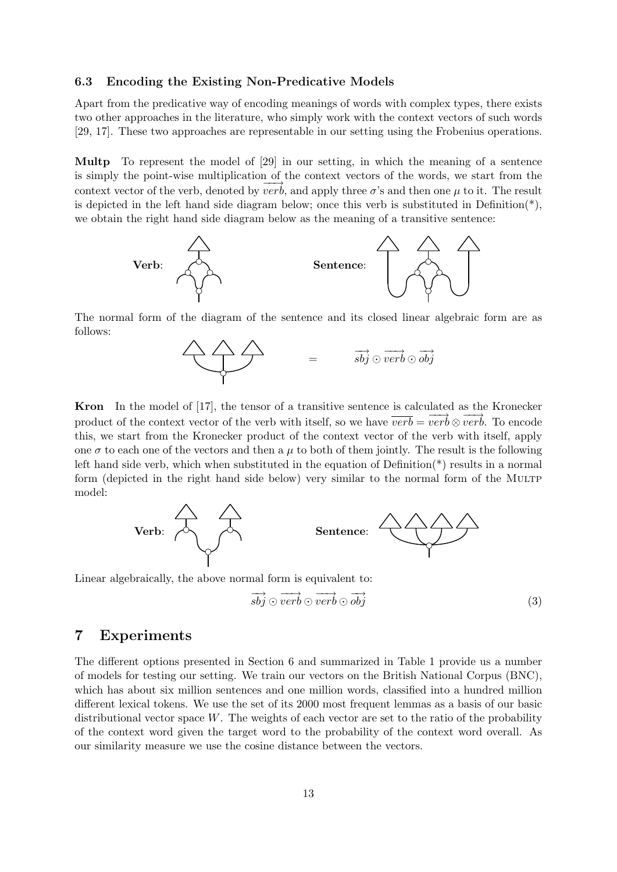### 6.3 Encoding the Existing Non-Predicative Models

Apart from the predicative way of encoding meanings of words with complex types, there exists two other approaches in the literature, who simply work with the context vectors of such words [29, 17]. These two approaches are representable in our setting using the Frobenius operations.

Multp To represent the model of [29] in our setting, in which the meaning of a sentence is simply the point-wise multiplication of the context vectors of the words, we start from the context vector of the verb, denoted by  $\overline{verb}$ , and apply three  $\sigma$ 's and then one  $\mu$  to it. The result is depicted in the left hand side diagram below; once this verb is substituted in Definition( $^*$ ), we obtain the right hand side diagram below as the meaning of a transitive sentence:



The normal form of the diagram of the sentence and its closed linear algebraic form are as follows:



Kron In the model of [17], the tensor of a transitive sentence is calculated as the Kronecker product of the context vector of the verb with itself, so we have  $\overrightarrow{verb} = \overrightarrow{verb} \otimes \overrightarrow{verb}$ . To encode this, we start from the Kronecker product of the context vector of the verb with itself, apply one  $\sigma$  to each one of the vectors and then a  $\mu$  to both of them jointly. The result is the following left hand side verb, which when substituted in the equation of Definition(\*) results in a normal form (depicted in the right hand side below) very similar to the normal form of the MULTP model:



Linear algebraically, the above normal form is equivalent to:

$$
\overrightarrow{sbj} \odot \overrightarrow{verb} \odot \overrightarrow{oobj} \tag{3}
$$

### 7 Experiments

The different options presented in Section 6 and summarized in Table 1 provide us a number of models for testing our setting. We train our vectors on the British National Corpus (BNC), which has about six million sentences and one million words, classified into a hundred million different lexical tokens. We use the set of its 2000 most frequent lemmas as a basis of our basic distributional vector space  $W$ . The weights of each vector are set to the ratio of the probability of the context word given the target word to the probability of the context word overall. As our similarity measure we use the cosine distance between the vectors.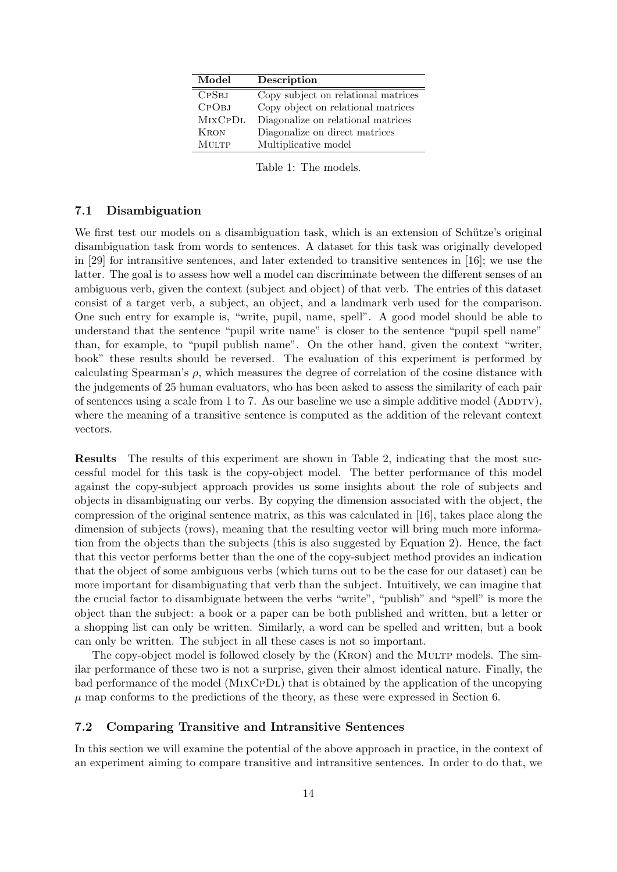| Model          | Description                         |
|----------------|-------------------------------------|
| <b>CPSBJ</b>   | Copy subject on relational matrices |
| СРОВЈ          | Copy object on relational matrices  |
| <b>MIXCPDL</b> | Diagonalize on relational matrices  |
| <b>KRON</b>    | Diagonalize on direct matrices      |
| <b>MULTP</b>   | Multiplicative model                |

Table 1: The models.

### 7.1 Disambiguation

We first test our models on a disambiguation task, which is an extension of Schütze's original disambiguation task from words to sentences. A dataset for this task was originally developed in [29] for intransitive sentences, and later extended to transitive sentences in [16]; we use the latter. The goal is to assess how well a model can discriminate between the different senses of an ambiguous verb, given the context (subject and object) of that verb. The entries of this dataset consist of a target verb, a subject, an object, and a landmark verb used for the comparison. One such entry for example is, "write, pupil, name, spell". A good model should be able to understand that the sentence "pupil write name" is closer to the sentence "pupil spell name" than, for example, to "pupil publish name". On the other hand, given the context "writer, book" these results should be reversed. The evaluation of this experiment is performed by calculating Spearman's  $\rho$ , which measures the degree of correlation of the cosine distance with the judgements of 25 human evaluators, who has been asked to assess the similarity of each pair of sentences using a scale from 1 to 7. As our baseline we use a simple additive model (ADDTV), where the meaning of a transitive sentence is computed as the addition of the relevant context vectors.

Results The results of this experiment are shown in Table 2, indicating that the most successful model for this task is the copy-object model. The better performance of this model against the copy-subject approach provides us some insights about the role of subjects and objects in disambiguating our verbs. By copying the dimension associated with the object, the compression of the original sentence matrix, as this was calculated in [16], takes place along the dimension of subjects (rows), meaning that the resulting vector will bring much more information from the objects than the subjects (this is also suggested by Equation 2). Hence, the fact that this vector performs better than the one of the copy-subject method provides an indication that the object of some ambiguous verbs (which turns out to be the case for our dataset) can be more important for disambiguating that verb than the subject. Intuitively, we can imagine that the crucial factor to disambiguate between the verbs "write", "publish" and "spell" is more the object than the subject: a book or a paper can be both published and written, but a letter or a shopping list can only be written. Similarly, a word can be spelled and written, but a book can only be written. The subject in all these cases is not so important.

The copy-object model is followed closely by the (KRON) and the MULTP models. The similar performance of these two is not a surprise, given their almost identical nature. Finally, the bad performance of the model (MIXCPDL) that is obtained by the application of the uncopying  $\mu$  map conforms to the predictions of the theory, as these were expressed in Section 6.

### 7.2 Comparing Transitive and Intransitive Sentences

In this section we will examine the potential of the above approach in practice, in the context of an experiment aiming to compare transitive and intransitive sentences. In order to do that, we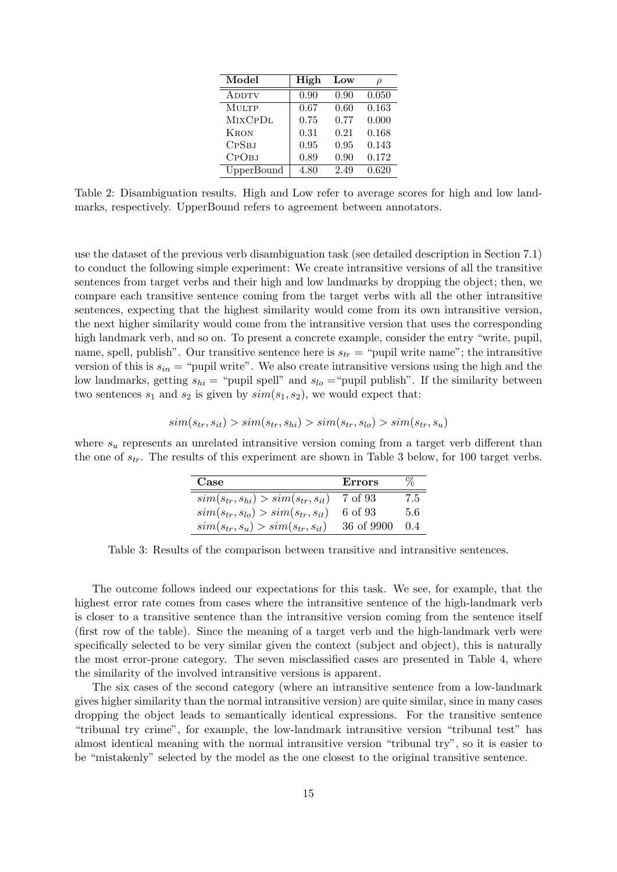| Model             | High | Low  |       |
|-------------------|------|------|-------|
| <b>ADDTV</b>      | 0.90 | 0.90 | 0.050 |
| <b>MULTP</b>      | 0.67 | 0.60 | 0.163 |
| <b>MIXCPDL</b>    | 0.75 | 0.77 | 0.000 |
| <b>KRON</b>       | 0.31 | 0.21 | 0.168 |
| <b>CPSBJ</b>      | 0.95 | 0.95 | 0.143 |
| СРОВЈ             | 0.89 | 0.90 | 0.172 |
| <b>UpperBound</b> | 4.80 | 2.49 | 0.620 |

Table 2: Disambiguation results. High and Low refer to average scores for high and low landmarks, respectively. UpperBound refers to agreement between annotators.

use the dataset of the previous verb disambiguation task (see detailed description in Section 7.1) to conduct the following simple experiment: We create intransitive versions of all the transitive sentences from target verbs and their high and low landmarks by dropping the object; then, we compare each transitive sentence coming from the target verbs with all the other intransitive sentences, expecting that the highest similarity would come from its own intransitive version, the next higher similarity would come from the intransitive version that uses the corresponding high landmark verb, and so on. To present a concrete example, consider the entry "write, pupil, name, spell, publish". Our transitive sentence here is  $s_{tr}$  = "pupil write name"; the intransitive version of this is  $s_{in}$  = "pupil write". We also create intransitive versions using the high and the low landmarks, getting  $s_{hi}$  = "pupil spell" and  $s_{lo}$  = "pupil publish". If the similarity between two sentences  $s_1$  and  $s_2$  is given by  $sim(s_1, s_2)$ , we would expect that:

$$
sim(s_{tr}, s_{it}) > sim(s_{tr}, s_{hi}) > sim(s_{tr}, s_{lo}) > sim(s_{tr}, s_{u})
$$

where  $s_u$  represents an unrelated intransitive version coming from a target verb different than the one of  $s_{tr}$ . The results of this experiment are shown in Table 3 below, for 100 target verbs.

| Case                                        | <b>Errors</b> | ℅   |
|---------------------------------------------|---------------|-----|
| $sim(s_{tr}, s_{hi}) > sim(s_{tr}, s_{it})$ | 7 of 93       | 7.5 |
| $sim(s_{tr}, s_{lo}) > sim(s_{tr}, s_{it})$ | 6 of 93       | 5.6 |
| $sim(s_{tr}, s_u) > sim(s_{tr}, s_{it})$    | 36 of 9900    | 0.4 |

Table 3: Results of the comparison between transitive and intransitive sentences.

The outcome follows indeed our expectations for this task. We see, for example, that the highest error rate comes from cases where the intransitive sentence of the high-landmark verb is closer to a transitive sentence than the intransitive version coming from the sentence itself (first row of the table). Since the meaning of a target verb and the high-landmark verb were specifically selected to be very similar given the context (subject and object), this is naturally the most error-prone category. The seven misclassified cases are presented in Table 4, where the similarity of the involved intransitive versions is apparent.

The six cases of the second category (where an intransitive sentence from a low-landmark gives higher similarity than the normal intransitive version) are quite similar, since in many cases dropping the object leads to semantically identical expressions. For the transitive sentence "tribunal try crime", for example, the low-landmark intransitive version "tribunal test" has almost identical meaning with the normal intransitive version "tribunal try", so it is easier to be "mistakenly" selected by the model as the one closest to the original transitive sentence.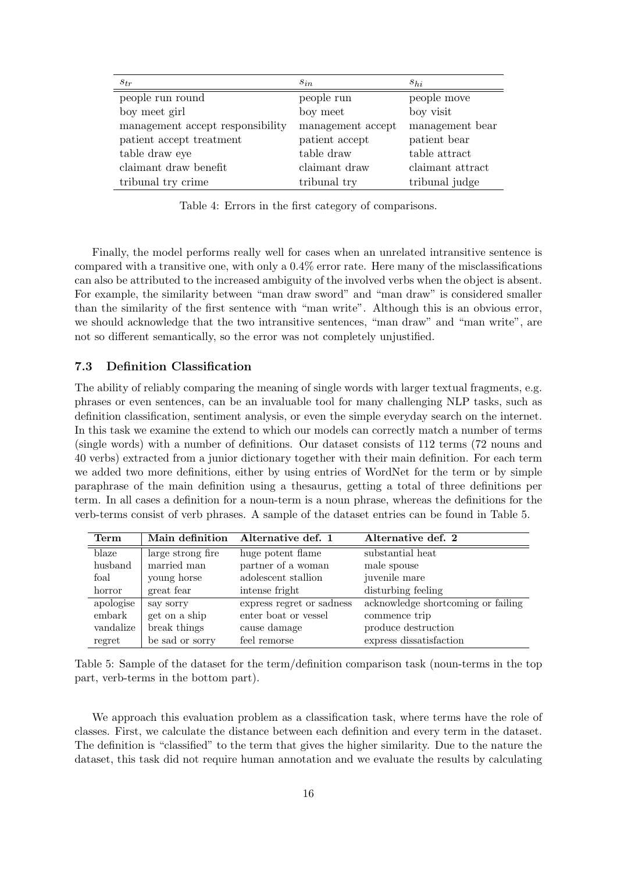| $S_{tr}$                         | $s_{in}$          | $s_{hi}$         |
|----------------------------------|-------------------|------------------|
| people run round                 | people run        | people move      |
| boy meet girl                    | boy meet          | boy visit        |
| management accept responsibility | management accept | management bear  |
| patient accept treatment         | patient accept    | patient bear     |
| table draw eye                   | table draw        | table attract    |
| claimant draw benefit            | claimant draw     | claimant attract |
| tribunal try crime               | tribunal try      | tribunal judge   |

Table 4: Errors in the first category of comparisons.

Finally, the model performs really well for cases when an unrelated intransitive sentence is compared with a transitive one, with only a 0.4% error rate. Here many of the misclassifications can also be attributed to the increased ambiguity of the involved verbs when the object is absent. For example, the similarity between "man draw sword" and "man draw" is considered smaller than the similarity of the first sentence with "man write". Although this is an obvious error, we should acknowledge that the two intransitive sentences, "man draw" and "man write", are not so different semantically, so the error was not completely unjustified.

### 7.3 Definition Classification

The ability of reliably comparing the meaning of single words with larger textual fragments, e.g. phrases or even sentences, can be an invaluable tool for many challenging NLP tasks, such as definition classification, sentiment analysis, or even the simple everyday search on the internet. In this task we examine the extend to which our models can correctly match a number of terms (single words) with a number of definitions. Our dataset consists of 112 terms (72 nouns and 40 verbs) extracted from a junior dictionary together with their main definition. For each term we added two more definitions, either by using entries of WordNet for the term or by simple paraphrase of the main definition using a thesaurus, getting a total of three definitions per term. In all cases a definition for a noun-term is a noun phrase, whereas the definitions for the verb-terms consist of verb phrases. A sample of the dataset entries can be found in Table 5.

| $\mathrm{Term}$ | Main definition   | Alternative def. 1        | Alternative def. 2                 |
|-----------------|-------------------|---------------------------|------------------------------------|
| blaze           | large strong fire | huge potent flame         | substantial heat                   |
| husband         | married man       | partner of a woman        | male spouse                        |
| foal            | young horse       | adolescent stallion       | juvenile mare                      |
| horror          | great fear        | intense fright            | disturbing feeling                 |
| apologise       | say sorry         | express regret or sadness | acknowledge shortcoming or failing |
| embark          | get on a ship     | enter boat or vessel      | commence trip                      |
| vandalize       | break things      | cause damage              | produce destruction                |
| regret          | be sad or sorry   | feel remorse              | express dissatisfaction            |

Table 5: Sample of the dataset for the term/definition comparison task (noun-terms in the top part, verb-terms in the bottom part).

We approach this evaluation problem as a classification task, where terms have the role of classes. First, we calculate the distance between each definition and every term in the dataset. The definition is "classified" to the term that gives the higher similarity. Due to the nature the dataset, this task did not require human annotation and we evaluate the results by calculating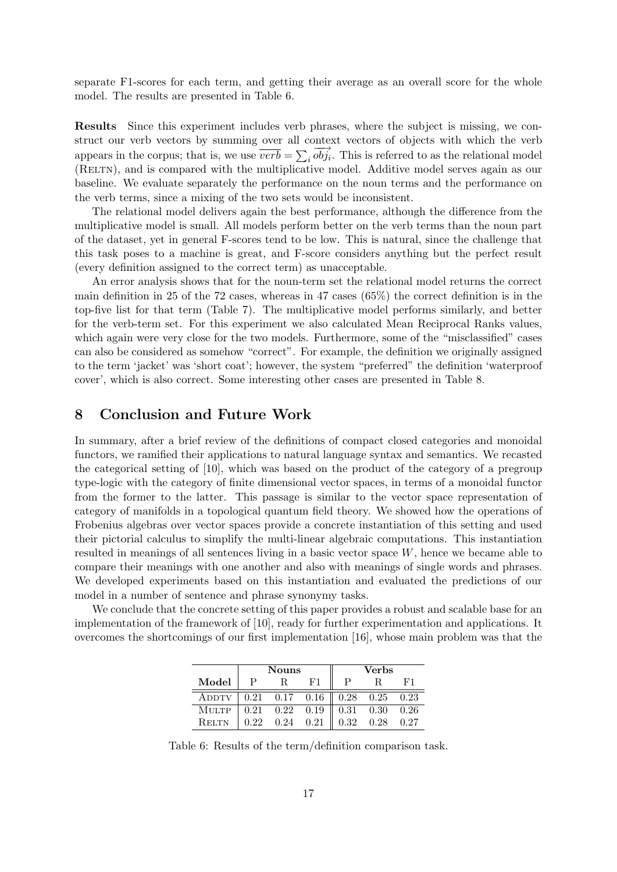separate F1-scores for each term, and getting their average as an overall score for the whole model. The results are presented in Table 6.

Results Since this experiment includes verb phrases, where the subject is missing, we construct our verb vectors by summing over all context vectors of objects with which the verb appears in the corpus; that is, we use  $\overrightarrow{verb} = \sum_i \overrightarrow{obj}_i$ . This is referred to as the relational model (RELTN), and is compared with the multiplicative model. Additive model serves again as our baseline. We evaluate separately the performance on the noun terms and the performance on the verb terms, since a mixing of the two sets would be inconsistent.

The relational model delivers again the best performance, although the difference from the multiplicative model is small. All models perform better on the verb terms than the noun part of the dataset, yet in general F-scores tend to be low. This is natural, since the challenge that this task poses to a machine is great, and F-score considers anything but the perfect result (every definition assigned to the correct term) as unacceptable.

An error analysis shows that for the noun-term set the relational model returns the correct main definition in 25 of the 72 cases, whereas in 47 cases (65%) the correct definition is in the top-five list for that term (Table 7). The multiplicative model performs similarly, and better for the verb-term set. For this experiment we also calculated Mean Reciprocal Ranks values, which again were very close for the two models. Furthermore, some of the "misclassified" cases can also be considered as somehow "correct". For example, the definition we originally assigned to the term 'jacket' was 'short coat'; however, the system "preferred" the definition 'waterproof cover', which is also correct. Some interesting other cases are presented in Table 8.

## 8 Conclusion and Future Work

In summary, after a brief review of the definitions of compact closed categories and monoidal functors, we ramified their applications to natural language syntax and semantics. We recasted the categorical setting of [10], which was based on the product of the category of a pregroup type-logic with the category of finite dimensional vector spaces, in terms of a monoidal functor from the former to the latter. This passage is similar to the vector space representation of category of manifolds in a topological quantum field theory. We showed how the operations of Frobenius algebras over vector spaces provide a concrete instantiation of this setting and used their pictorial calculus to simplify the multi-linear algebraic computations. This instantiation resulted in meanings of all sentences living in a basic vector space  $W$ , hence we became able to compare their meanings with one another and also with meanings of single words and phrases. We developed experiments based on this instantiation and evaluated the predictions of our model in a number of sentence and phrase synonymy tasks.

We conclude that the concrete setting of this paper provides a robust and scalable base for an implementation of the framework of [10], ready for further experimentation and applications. It overcomes the shortcomings of our first implementation [16], whose main problem was that the

|              | <b>Nouns</b> |                                                             |                                                                                                          |      | <b>Verbs</b>         |  |
|--------------|--------------|-------------------------------------------------------------|----------------------------------------------------------------------------------------------------------|------|----------------------|--|
| Model        |              |                                                             | F1                                                                                                       |      |                      |  |
| ADDTV        |              |                                                             | $\begin{array}{ c c c c c c c c c } \hline 0.21 & 0.17 & 0.16 & 0.28 & 0.25 & 0.23 \ \hline \end{array}$ |      |                      |  |
| <b>MULTP</b> |              | $\begin{array}{cccc} \sim & 0.21 & 0.22 & 0.19 \end{array}$ |                                                                                                          |      | $0.31$ $0.30$ $0.26$ |  |
| <b>RELTN</b> | 0.22         | $0.24 \quad 0.21$                                           |                                                                                                          | 0.32 | $0.28$ 0.27          |  |

Table 6: Results of the term/definition comparison task.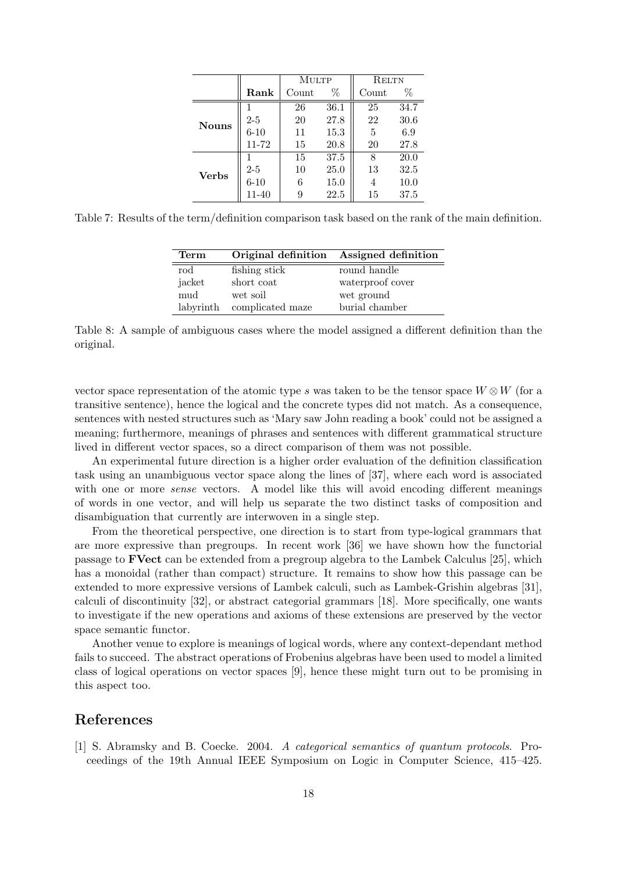|              |             | MULTP |      | <b>RELTN</b> |      |
|--------------|-------------|-------|------|--------------|------|
|              | $\rm{Rank}$ | Count | %    | Count        | %    |
|              |             | 26    | 36.1 | 25           | 34.7 |
| <b>Nouns</b> | $2 - 5$     | 20    | 27.8 | 22           | 30.6 |
|              | $6 - 10$    | 11    | 15.3 | 5            | 6.9  |
|              | 11-72       | 15    | 20.8 | 20           | 27.8 |
|              |             | 15    | 37.5 | 8            | 20.0 |
| <b>Verbs</b> | $2 - 5$     | 10    | 25.0 | 13           | 32.5 |
|              | $6 - 10$    | 6     | 15.0 | 4            | 10.0 |
|              | 11-40       | 9     | 22.5 | 15           | 37.5 |

Table 7: Results of the term/definition comparison task based on the rank of the main definition.

| Term       |                  | Original definition Assigned definition |
|------------|------------------|-----------------------------------------|
| $\rm{rod}$ | fishing stick    | round handle                            |
| jacket     | short coat       | waterproof cover                        |
| mud        | wet soil         | wet ground                              |
| labyrinth  | complicated maze | burial chamber                          |

Table 8: A sample of ambiguous cases where the model assigned a different definition than the original.

vector space representation of the atomic type s was taken to be the tensor space  $W \otimes W$  (for a transitive sentence), hence the logical and the concrete types did not match. As a consequence, sentences with nested structures such as 'Mary saw John reading a book' could not be assigned a meaning; furthermore, meanings of phrases and sentences with different grammatical structure lived in different vector spaces, so a direct comparison of them was not possible.

An experimental future direction is a higher order evaluation of the definition classification task using an unambiguous vector space along the lines of [37], where each word is associated with one or more *sense* vectors. A model like this will avoid encoding different meanings of words in one vector, and will help us separate the two distinct tasks of composition and disambiguation that currently are interwoven in a single step.

From the theoretical perspective, one direction is to start from type-logical grammars that are more expressive than pregroups. In recent work [36] we have shown how the functorial passage to FVect can be extended from a pregroup algebra to the Lambek Calculus [25], which has a monoidal (rather than compact) structure. It remains to show how this passage can be extended to more expressive versions of Lambek calculi, such as Lambek-Grishin algebras [31], calculi of discontinuity [32], or abstract categorial grammars [18]. More specifically, one wants to investigate if the new operations and axioms of these extensions are preserved by the vector space semantic functor.

Another venue to explore is meanings of logical words, where any context-dependant method fails to succeed. The abstract operations of Frobenius algebras have been used to model a limited class of logical operations on vector spaces [9], hence these might turn out to be promising in this aspect too.

## References

[1] S. Abramsky and B. Coecke. 2004. A categorical semantics of quantum protocols. Proceedings of the 19th Annual IEEE Symposium on Logic in Computer Science, 415–425.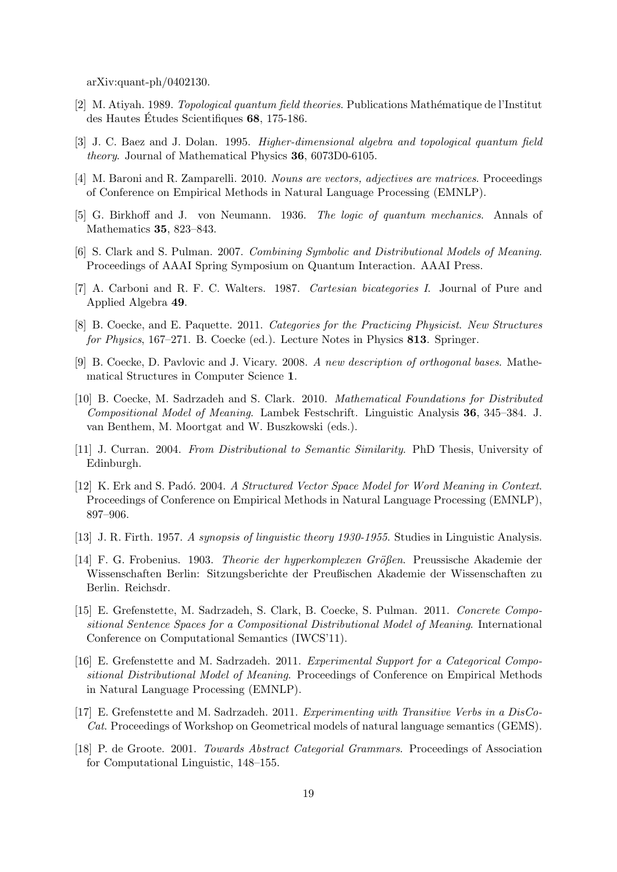arXiv:quant-ph/0402130.

- [2] M. Atiyah. 1989. *Topological quantum field theories*. Publications Mathématique de l'Institut des Hautes Études Scientifiques  $68$ , 175-186.
- [3] J. C. Baez and J. Dolan. 1995. Higher-dimensional algebra and topological quantum field theory. Journal of Mathematical Physics 36, 6073D0-6105.
- [4] M. Baroni and R. Zamparelli. 2010. Nouns are vectors, adjectives are matrices. Proceedings of Conference on Empirical Methods in Natural Language Processing (EMNLP).
- [5] G. Birkhoff and J. von Neumann. 1936. The logic of quantum mechanics. Annals of Mathematics 35, 823–843.
- [6] S. Clark and S. Pulman. 2007. Combining Symbolic and Distributional Models of Meaning. Proceedings of AAAI Spring Symposium on Quantum Interaction. AAAI Press.
- [7] A. Carboni and R. F. C. Walters. 1987. Cartesian bicategories I. Journal of Pure and Applied Algebra 49.
- [8] B. Coecke, and E. Paquette. 2011. Categories for the Practicing Physicist. New Structures for Physics, 167–271. B. Coecke (ed.). Lecture Notes in Physics 813. Springer.
- [9] B. Coecke, D. Pavlovic and J. Vicary. 2008. A new description of orthogonal bases. Mathematical Structures in Computer Science 1.
- [10] B. Coecke, M. Sadrzadeh and S. Clark. 2010. Mathematical Foundations for Distributed Compositional Model of Meaning. Lambek Festschrift. Linguistic Analysis 36, 345–384. J. van Benthem, M. Moortgat and W. Buszkowski (eds.).
- [11] J. Curran. 2004. From Distributional to Semantic Similarity. PhD Thesis, University of Edinburgh.
- [12] K. Erk and S. Padó. 2004. A Structured Vector Space Model for Word Meaning in Context. Proceedings of Conference on Empirical Methods in Natural Language Processing (EMNLP), 897–906.
- [13] J. R. Firth. 1957. A synopsis of linguistic theory 1930-1955. Studies in Linguistic Analysis.
- [14] F. G. Frobenius. 1903. *Theorie der hyperkomplexen Größen*. Preussische Akademie der Wissenschaften Berlin: Sitzungsberichte der Preußischen Akademie der Wissenschaften zu Berlin. Reichsdr.
- [15] E. Grefenstette, M. Sadrzadeh, S. Clark, B. Coecke, S. Pulman. 2011. Concrete Compositional Sentence Spaces for a Compositional Distributional Model of Meaning. International Conference on Computational Semantics (IWCS'11).
- [16] E. Grefenstette and M. Sadrzadeh. 2011. Experimental Support for a Categorical Compositional Distributional Model of Meaning. Proceedings of Conference on Empirical Methods in Natural Language Processing (EMNLP).
- [17] E. Grefenstette and M. Sadrzadeh. 2011. Experimenting with Transitive Verbs in a DisCo-Cat. Proceedings of Workshop on Geometrical models of natural language semantics (GEMS).
- [18] P. de Groote. 2001. Towards Abstract Categorial Grammars. Proceedings of Association for Computational Linguistic, 148–155.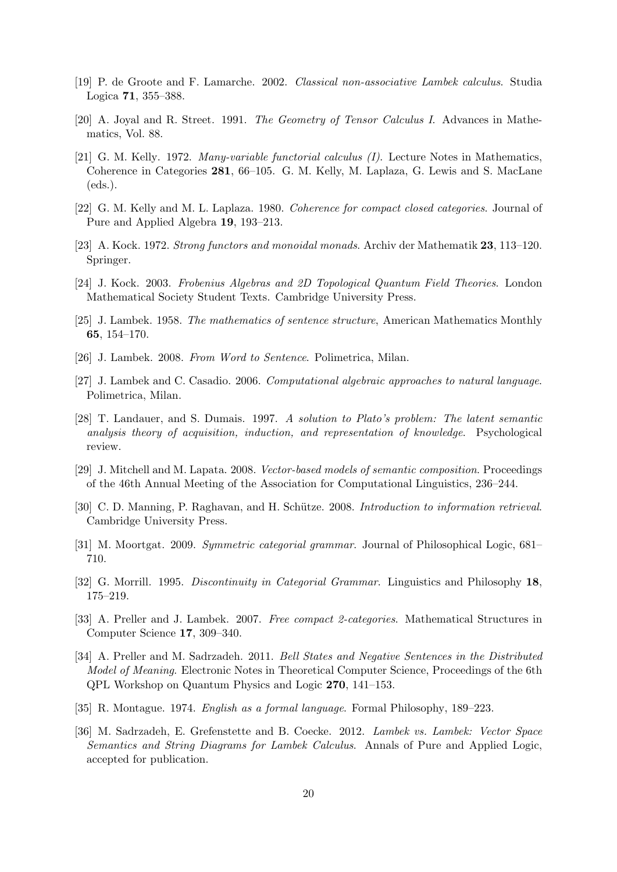- [19] P. de Groote and F. Lamarche. 2002. Classical non-associative Lambek calculus. Studia Logica 71, 355–388.
- [20] A. Joyal and R. Street. 1991. The Geometry of Tensor Calculus I. Advances in Mathematics, Vol. 88.
- [21] G. M. Kelly. 1972. Many-variable functorial calculus (I). Lecture Notes in Mathematics, Coherence in Categories 281, 66–105. G. M. Kelly, M. Laplaza, G. Lewis and S. MacLane (eds.).
- [22] G. M. Kelly and M. L. Laplaza. 1980. Coherence for compact closed categories. Journal of Pure and Applied Algebra 19, 193–213.
- [23] A. Kock. 1972. Strong functors and monoidal monads. Archiv der Mathematik 23, 113–120. Springer.
- [24] J. Kock. 2003. Frobenius Algebras and 2D Topological Quantum Field Theories. London Mathematical Society Student Texts. Cambridge University Press.
- [25] J. Lambek. 1958. The mathematics of sentence structure, American Mathematics Monthly 65, 154–170.
- [26] J. Lambek. 2008. From Word to Sentence. Polimetrica, Milan.
- [27] J. Lambek and C. Casadio. 2006. Computational algebraic approaches to natural language. Polimetrica, Milan.
- [28] T. Landauer, and S. Dumais. 1997. A solution to Plato's problem: The latent semantic analysis theory of acquisition, induction, and representation of knowledge. Psychological review.
- [29] J. Mitchell and M. Lapata. 2008. Vector-based models of semantic composition. Proceedings of the 46th Annual Meeting of the Association for Computational Linguistics, 236–244.
- [30] C. D. Manning, P. Raghavan, and H. Schütze. 2008. Introduction to information retrieval. Cambridge University Press.
- [31] M. Moortgat. 2009. Symmetric categorial grammar. Journal of Philosophical Logic, 681– 710.
- [32] G. Morrill. 1995. Discontinuity in Categorial Grammar. Linguistics and Philosophy 18, 175–219.
- [33] A. Preller and J. Lambek. 2007. Free compact 2-categories. Mathematical Structures in Computer Science 17, 309–340.
- [34] A. Preller and M. Sadrzadeh. 2011. Bell States and Negative Sentences in the Distributed Model of Meaning. Electronic Notes in Theoretical Computer Science, Proceedings of the 6th QPL Workshop on Quantum Physics and Logic 270, 141–153.
- [35] R. Montague. 1974. English as a formal language. Formal Philosophy, 189–223.
- [36] M. Sadrzadeh, E. Grefenstette and B. Coecke. 2012. Lambek vs. Lambek: Vector Space Semantics and String Diagrams for Lambek Calculus. Annals of Pure and Applied Logic, accepted for publication.